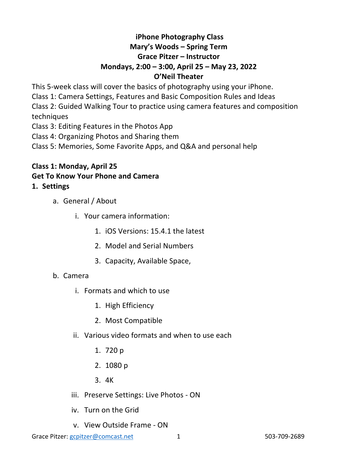# **iPhone Photography Class Mary's Woods – Spring Term Grace Pitzer – Instructor Mondays, 2:00 – 3:00, April 25 – May 23, 2022 O'Neil Theater**

This 5-week class will cover the basics of photography using your iPhone. Class 1: Camera Settings, Features and Basic Composition Rules and Ideas Class 2: Guided Walking Tour to practice using camera features and composition techniques Class 3: Editing Features in the Photos App

Class 4: Organizing Photos and Sharing them

Class 5: Memories, Some Favorite Apps, and Q&A and personal help

## **Class 1: Monday, April 25 Get To Know Your Phone and Camera 1. Settings**

- - a. General / About
		- i. Your camera information:
			- 1. iOS Versions: 15.4.1 the latest
			- 2. Model and Serial Numbers
			- 3. Capacity, Available Space,
	- b. Camera
		- i. Formats and which to use
			- 1. High Efficiency
			- 2. Most Compatible
		- ii. Various video formats and when to use each
			- 1. 720 p
			- 2. 1080 p
			- 3. 4K
		- iii. Preserve Settings: Live Photos ON
		- iv. Turn on the Grid
		- v. View Outside Frame ON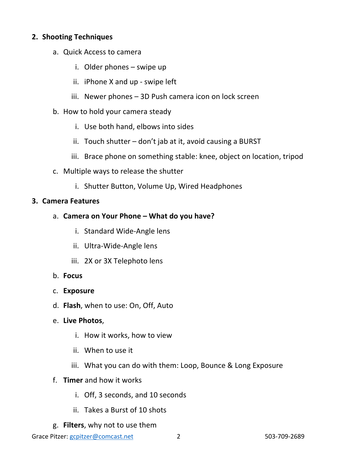## **2. Shooting Techniques**

- a. Quick Access to camera
	- i. Older phones swipe up
	- ii. iPhone X and up swipe left
	- iii. Newer phones 3D Push camera icon on lock screen
- b. How to hold your camera steady
	- i. Use both hand, elbows into sides
	- ii. Touch shutter don't jab at it, avoid causing a BURST
	- iii. Brace phone on something stable: knee, object on location, tripod
- c. Multiple ways to release the shutter
	- i. Shutter Button, Volume Up, Wired Headphones

#### **3. Camera Features**

- a. **Camera on Your Phone – What do you have?**
	- i. Standard Wide-Angle lens
	- ii. Ultra-Wide-Angle lens
	- iii. 2X or 3X Telephoto lens
- b. **Focus**
- c. **Exposure**
- d. **Flash**, when to use: On, Off, Auto
- e. **Live Photos**,
	- i. How it works, how to view
	- ii. When to use it
	- iii. What you can do with them: Loop, Bounce & Long Exposure
- f. **Timer** and how it works
	- i. Off, 3 seconds, and 10 seconds
	- ii. Takes a Burst of 10 shots
- g. **Filters**, why not to use them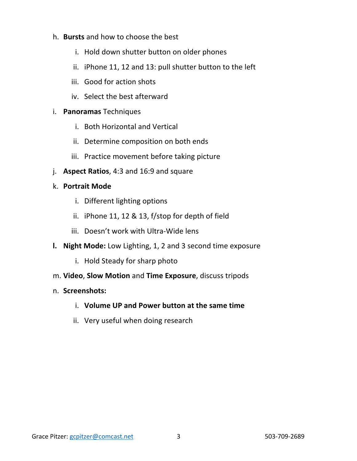#### h. **Bursts** and how to choose the best

- i. Hold down shutter button on older phones
- ii. iPhone 11, 12 and 13: pull shutter button to the left
- iii. Good for action shots
- iv. Select the best afterward

## i. **Panoramas** Techniques

- i. Both Horizontal and Vertical
- ii. Determine composition on both ends
- iii. Practice movement before taking picture
- j. **Aspect Ratios**, 4:3 and 16:9 and square

## k. **Portrait Mode**

- i. Different lighting options
- ii. iPhone 11, 12 & 13, f/stop for depth of field
- iii. Doesn't work with Ultra-Wide lens
- **l. Night Mode:** Low Lighting, 1, 2 and 3 second time exposure
	- i. Hold Steady for sharp photo
- m. **Video**, **Slow Motion** and **Time Exposure**, discuss tripods

## n. **Screenshots:**

- i. **Volume UP and Power button at the same time**
- ii. Very useful when doing research